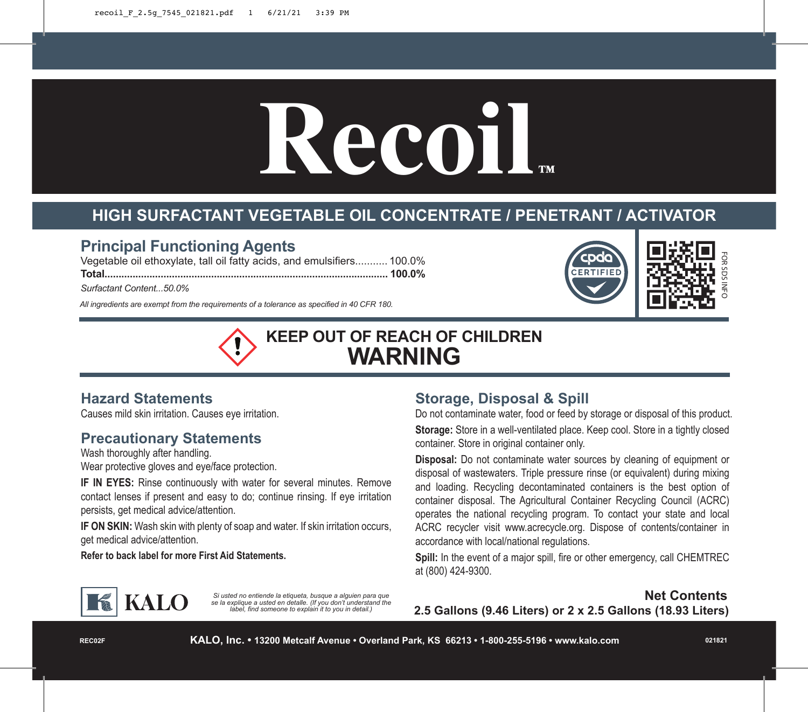# **Recoil**

# **HIGH SURFACTANT VEGETABLE OIL CONCENTRATE / PENETRANT / ACTIVATOR**

### **Principal Functioning Agents**

Vegetable oil ethoxylate, tall oil fatty acids, and emulsifiers........... 100.0% **Total..................................................................................................... 100.0%**

*Surfactant Content...50.0%*

*All ingredients are exempt from the requirements of a tolerance as specified in 40 CFR 180.*



**KEEP OUT OF REACH OF CHILDREN WARNING**

#### **Hazard Statements**

Causes mild skin irritation. Causes eye irritation.

#### **Precautionary Statements**

Wash thoroughly after handling.

Wear protective gloves and eye/face protection.

**IF IN EYES:** Rinse continuously with water for several minutes. Remove contact lenses if present and easy to do; continue rinsing. If eye irritation persists, get medical advice/attention.

**IF ON SKIN:** Wash skin with plenty of soap and water. If skin irritation occurs, get medical advice/attention.

**Refer to back label for more First Aid Statements.**

# **Storage, Disposal & Spill**

Do not contaminate water, food or feed by storage or disposal of this product.

**Storage:** Store in a well-ventilated place. Keep cool. Store in a tightly closed container. Store in original container only.

**Disposal:** Do not contaminate water sources by cleaning of equipment or disposal of wastewaters. Triple pressure rinse (or equivalent) during mixing and loading. Recycling decontaminated containers is the best option of container disposal. The Agricultural Container Recycling Council (ACRC) operates the national recycling program. To contact your state and local ACRC recycler visit www.acrecycle.org. Dispose of contents/container in accordance with local/national regulations.

**Spill:** In the event of a major spill, fire or other emergency, call CHEMTREC at (800) 424-9300.



*Si usted no entiende la etiqueta, busque a alguien para que se la explique a usted en detalle. (If you don't understand the label, find someone to explain it to you in detail.)*

**Net Contents 2.5 Gallons (9.46 Liters) or 2 x 2.5 Gallons (18.93 Liters)**

**REC02F**

**021821**

FOR SDS INFO